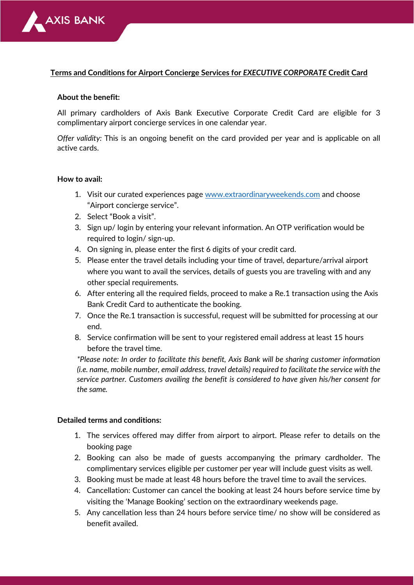

## **Terms and Conditions for Airport Concierge Services for** *EXECUTIVE CORPORATE* **Credit Card**

## **About the benefit:**

All primary cardholders of Axis Bank Executive Corporate Credit Card are eligible for 3 complimentary airport concierge services in one calendar year.

*Offer validity:* This is an ongoing benefit on the card provided per year and is applicable on all active cards.

## **How to avail:**

- 1. Visit our curated experiences page [www.extraordinaryweekends.com](http://www.extraordinaryweekends.com/) and choose "Airport concierge service".
- 2. Select "Book a visit".
- 3. Sign up/ login by entering your relevant information. An OTP verification would be required to login/ sign-up.
- 4. On signing in, please enter the first 6 digits of your credit card.
- 5. Please enter the travel details including your time of travel, departure/arrival airport where you want to avail the services, details of guests you are traveling with and any other special requirements.
- 6. After entering all the required fields, proceed to make a Re.1 transaction using the Axis Bank Credit Card to authenticate the booking.
- 7. Once the Re.1 transaction is successful, request will be submitted for processing at our end.
- 8. Service confirmation will be sent to your registered email address at least 15 hours before the travel time.

*\*Please note: In order to facilitate this benefit, Axis Bank will be sharing customer information (i.e. name, mobile number, email address, travel details) required to facilitate the service with the service partner. Customers availing the benefit is considered to have given his/her consent for the same.*

## **Detailed terms and conditions:**

- 1. The services offered may differ from airport to airport. Please refer to details on the booking page
- 2. Booking can also be made of guests accompanying the primary cardholder. The complimentary services eligible per customer per year will include guest visits as well.
- 3. Booking must be made at least 48 hours before the travel time to avail the services.
- 4. Cancellation: Customer can cancel the booking at least 24 hours before service time by visiting the 'Manage Booking' section on the extraordinary weekends page.
- 5. Any cancellation less than 24 hours before service time/ no show will be considered as benefit availed.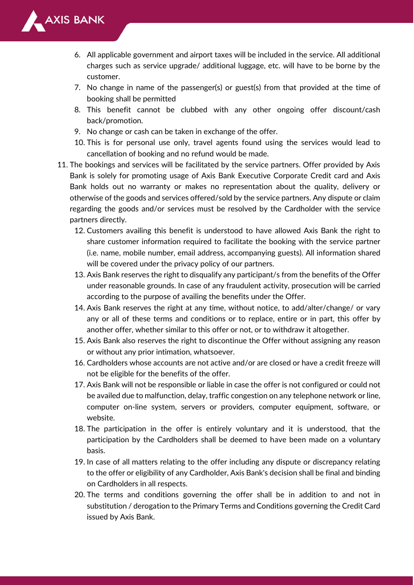

- 6. All applicable government and airport taxes will be included in the service. All additional charges such as service upgrade/ additional luggage, etc. will have to be borne by the customer.
- 7. No change in name of the passenger(s) or guest(s) from that provided at the time of booking shall be permitted
- 8. This benefit cannot be clubbed with any other ongoing offer discount/cash back/promotion.
- 9. No change or cash can be taken in exchange of the offer.
- 10. This is for personal use only, travel agents found using the services would lead to cancellation of booking and no refund would be made.
- 11. The bookings and services will be facilitated by the service partners. Offer provided by Axis Bank is solely for promoting usage of Axis Bank Executive Corporate Credit card and Axis Bank holds out no warranty or makes no representation about the quality, delivery or otherwise of the goods and services offered/sold by the service partners. Any dispute or claim regarding the goods and/or services must be resolved by the Cardholder with the service partners directly.
	- 12. Customers availing this benefit is understood to have allowed Axis Bank the right to share customer information required to facilitate the booking with the service partner (i.e. name, mobile number, email address, accompanying guests). All information shared will be covered under the privacy policy of our partners.
	- 13. Axis Bank reserves the right to disqualify any participant/s from the benefits of the Offer under reasonable grounds. In case of any fraudulent activity, prosecution will be carried according to the purpose of availing the benefits under the Offer.
	- 14. Axis Bank reserves the right at any time, without notice, to add/alter/change/ or vary any or all of these terms and conditions or to replace, entire or in part, this offer by another offer, whether similar to this offer or not, or to withdraw it altogether.
	- 15. Axis Bank also reserves the right to discontinue the Offer without assigning any reason or without any prior intimation, whatsoever.
	- 16. Cardholders whose accounts are not active and/or are closed or have a credit freeze will not be eligible for the benefits of the offer.
	- 17. Axis Bank will not be responsible or liable in case the offer is not configured or could not be availed due to malfunction, delay, traffic congestion on any telephone network or line, computer on-line system, servers or providers, computer equipment, software, or website.
	- 18. The participation in the offer is entirely voluntary and it is understood, that the participation by the Cardholders shall be deemed to have been made on a voluntary basis.
	- 19. In case of all matters relating to the offer including any dispute or discrepancy relating to the offer or eligibility of any Cardholder, Axis Bank's decision shall be final and binding on Cardholders in all respects.
	- 20. The terms and conditions governing the offer shall be in addition to and not in substitution / derogation to the Primary Terms and Conditions governing the Credit Card issued by Axis Bank.